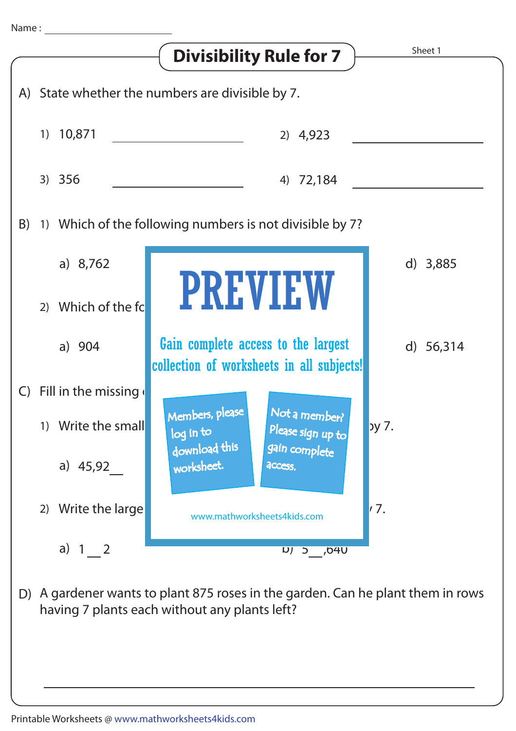|                                                  |                                                          | <b>Divisibility Rule for 7</b>                                                   | Sheet 1   |
|--------------------------------------------------|----------------------------------------------------------|----------------------------------------------------------------------------------|-----------|
| A) State whether the numbers are divisible by 7. |                                                          |                                                                                  |           |
|                                                  | 1) 10,871                                                | 2) 4,923                                                                         |           |
|                                                  | 3) 356                                                   | 4) 72,184                                                                        |           |
| B)                                               | 1) Which of the following numbers is not divisible by 7? |                                                                                  |           |
|                                                  | a) $8,762$                                               |                                                                                  | d) 3,885  |
|                                                  | Which of the fc<br>(2)                                   | <b>PREVIEW</b>                                                                   |           |
|                                                  | a) 904                                                   | Gain complete access to the largest<br>collection of worksheets in all subjects! | d) 56,314 |
| $\mathsf{C}$                                     | Fill in the missing                                      |                                                                                  |           |
|                                                  | 1) Write the small                                       | Not a member?<br>Members, please<br>Please sign up to<br>log in to               | ру 7.     |
|                                                  | a) $45,92$                                               | download this<br>gain complete<br>worksheet.<br>access.                          |           |
|                                                  | 2) Write the large                                       | www.mathworksheets4kids.com                                                      | 7.        |
|                                                  | a) $1 \quad 2$                                           | UPO, C (U                                                                        |           |
| D)                                               | having 7 plants each without any plants left?            | A gardener wants to plant 875 roses in the garden. Can he plant them in rows     |           |